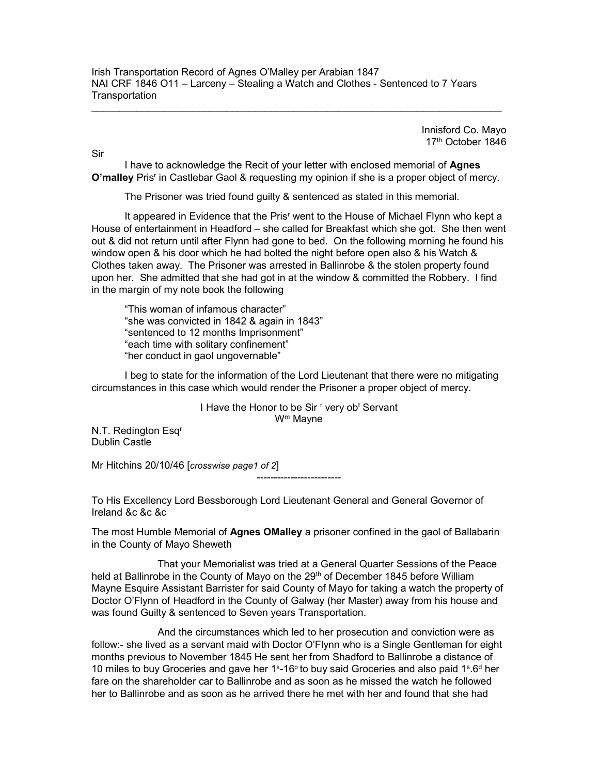Innisford Co. Mayo 17<sup>th</sup> October 1846

Sir

I have to acknowledge the Recit of your letter with enclosed memorial of **Agnes** O'malley Pris<sup>r</sup> in Castlebar Gaol & requesting my opinion if she is a proper object of mercy.

The Prisoner was tried found guilty & sentenced as stated in this memorial.

It appeared in Evidence that the Pris<sup>r</sup> went to the House of Michael Flynn who kept a House of entertainment in Headford – she called for Breakfast which she got. She then went out & did not return until after Flynn had gone to bed. On the following morning he found his window open & his door which he had bolted the night before open also & his Watch & Clothes taken away. The Prisoner was arrested in Ballinrobe & the stolen property found upon her. She admitted that she had got in at the window & committed the Robbery. I find in the margin of my note book the following

 "This woman of infamous character" "she was convicted in 1842 & again in 1843" "sentenced to 12 months Imprisonment" "each time with solitary confinement" "her conduct in gaol ungovernable"

 I beg to state for the information of the Lord Lieutenant that there were no mitigating circumstances in this case which would render the Prisoner a proper object of mercy.

> I Have the Honor to be Sir <sup>r</sup> very ob<sup>t</sup> Servant W<sup>m</sup> Mayne

> > -------------------------

N.T. Redington Esq<sup>r</sup> Dublin Castle

Mr Hitchins 20/10/46 [crosswise page1 of 2]

To His Excellency Lord Bessborough Lord Lieutenant General and General Governor of Ireland &c &c &c

The most Humble Memorial of Agnes OMalley a prisoner confined in the gaol of Ballabarin in the County of Mayo Sheweth

 That your Memorialist was tried at a General Quarter Sessions of the Peace held at Ballinrobe in the County of Mayo on the 29<sup>th</sup> of December 1845 before William Mayne Esquire Assistant Barrister for said County of Mayo for taking a watch the property of Doctor O'Flynn of Headford in the County of Galway (her Master) away from his house and was found Guilty & sentenced to Seven years Transportation.

 And the circumstances which led to her prosecution and conviction were as follow:- she lived as a servant maid with Doctor O'Flynn who is a Single Gentleman for eight months previous to November 1845 He sent her from Shadford to Ballinrobe a distance of 10 miles to buy Groceries and gave her  $1<sup>s</sup>$ -16<sup>p</sup> to buy said Groceries and also paid  $1<sup>s</sup>$ .6<sup>d</sup> her fare on the shareholder car to Ballinrobe and as soon as he missed the watch he followed her to Ballinrobe and as soon as he arrived there he met with her and found that she had